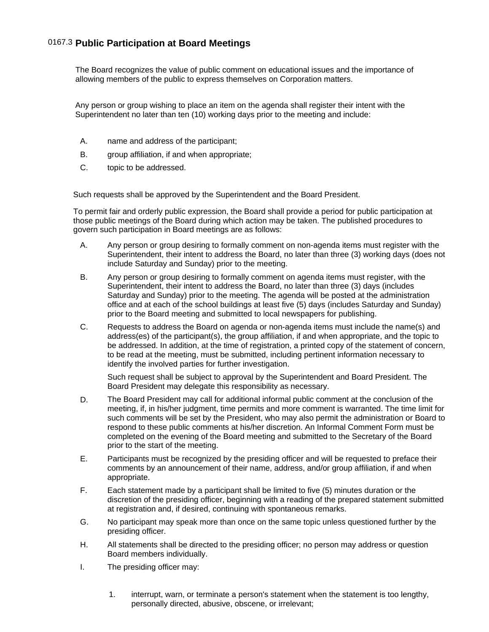The Board recognizes the value of public comment on educational issues and the importance of allowing members of the public to express themselves on Corporation matters.

 Any person or group wishing to place an item on the agenda shall register their intent with the Superintendent no later than ten (10) working days prior to the meeting and include:

- A. name and address of the participant;
- B. group affiliation, if and when appropriate;
- C. topic to be addressed.

Such requests shall be approved by the Superintendent and the Board President.

 To permit fair and orderly public expression, the Board shall provide a period for public participation at those public meetings of the Board during which action may be taken. The published procedures to govern such participation in Board meetings are as follows:

- A. Any person or group desiring to formally comment on non-agenda items must register with the Superintendent, their intent to address the Board, no later than three (3) working days (does not include Saturday and Sunday) prior to the meeting.
- B. Any person or group desiring to formally comment on agenda items must register, with the Superintendent, their intent to address the Board, no later than three (3) days (includes Saturday and Sunday) prior to the meeting. The agenda will be posted at the administration office and at each of the school buildings at least five (5) days (includes Saturday and Sunday) prior to the Board meeting and submitted to local newspapers for publishing.
- C. Requests to address the Board on agenda or non-agenda items must include the name(s) and address(es) of the participant(s), the group affiliation, if and when appropriate, and the topic to be addressed. In addition, at the time of registration, a printed copy of the statement of concern, to be read at the meeting, must be submitted, including pertinent information necessary to identify the involved parties for further investigation.

 Such request shall be subject to approval by the Superintendent and Board President. The Board President may delegate this responsibility as necessary.

- D. The Board President may call for additional informal public comment at the conclusion of the meeting, if, in his/her judgment, time permits and more comment is warranted. The time limit for such comments will be set by the President, who may also permit the administration or Board to respond to these public comments at his/her discretion. An Informal Comment Form must be completed on the evening of the Board meeting and submitted to the Secretary of the Board prior to the start of the meeting.
- E. Participants must be recognized by the presiding officer and will be requested to preface their comments by an announcement of their name, address, and/or group affiliation, if and when appropriate.
- F. Each statement made by a participant shall be limited to five (5) minutes duration or the discretion of the presiding officer, beginning with a reading of the prepared statement submitted at registration and, if desired, continuing with spontaneous remarks.
- G. No participant may speak more than once on the same topic unless questioned further by the presiding officer.
- H. All statements shall be directed to the presiding officer; no person may address or question Board members individually.
- I. The presiding officer may:
	- 1. interrupt, warn, or terminate a person's statement when the statement is too lengthy, personally directed, abusive, obscene, or irrelevant;